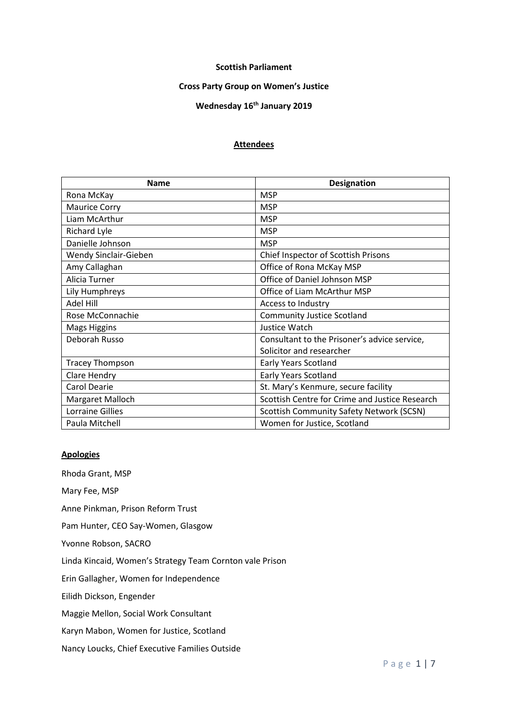#### **Scottish Parliament**

### **Cross Party Group on Women's Justice**

# **Wednesday 16th January 2019**

## **Attendees**

| <b>Name</b>            | <b>Designation</b>                              |
|------------------------|-------------------------------------------------|
| Rona McKay             | <b>MSP</b>                                      |
| <b>Maurice Corry</b>   | <b>MSP</b>                                      |
| Liam McArthur          | <b>MSP</b>                                      |
| Richard Lyle           | <b>MSP</b>                                      |
| Danielle Johnson       | <b>MSP</b>                                      |
| Wendy Sinclair-Gieben  | Chief Inspector of Scottish Prisons             |
| Amy Callaghan          | Office of Rona McKay MSP                        |
| Alicia Turner          | Office of Daniel Johnson MSP                    |
| Lily Humphreys         | Office of Liam McArthur MSP                     |
| Adel Hill              | Access to Industry                              |
| Rose McConnachie       | <b>Community Justice Scotland</b>               |
| <b>Mags Higgins</b>    | Justice Watch                                   |
| Deborah Russo          | Consultant to the Prisoner's advice service,    |
|                        | Solicitor and researcher                        |
| <b>Tracey Thompson</b> | <b>Early Years Scotland</b>                     |
| Clare Hendry           | <b>Early Years Scotland</b>                     |
| <b>Carol Dearie</b>    | St. Mary's Kenmure, secure facility             |
| Margaret Malloch       | Scottish Centre for Crime and Justice Research  |
| Lorraine Gillies       | <b>Scottish Community Safety Network (SCSN)</b> |
| Paula Mitchell         | Women for Justice, Scotland                     |

### **Apologies**

Rhoda Grant, MSP

Mary Fee, MSP

Anne Pinkman, Prison Reform Trust

Pam Hunter, CEO Say-Women, Glasgow

Yvonne Robson, SACRO

Linda Kincaid, Women's Strategy Team Cornton vale Prison

Erin Gallagher, Women for Independence

Eilidh Dickson, Engender

Maggie Mellon, Social Work Consultant

Karyn Mabon, Women for Justice, Scotland

Nancy Loucks, Chief Executive Families Outside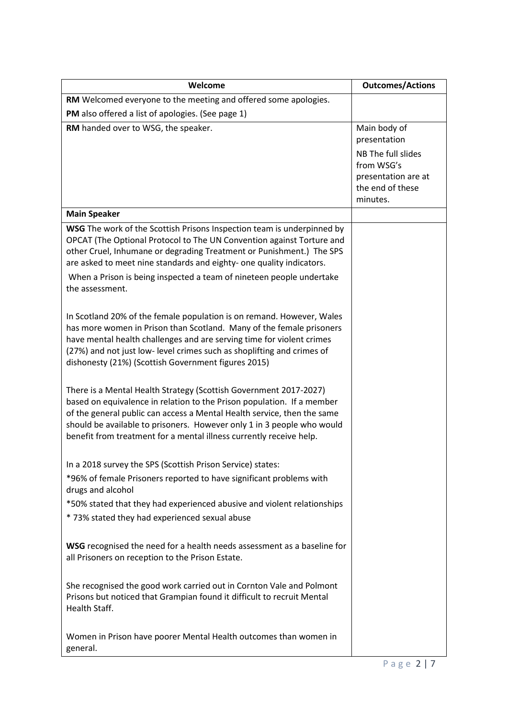| Welcome                                                                                                                                                                                                                                                                                                                                                                                    | <b>Outcomes/Actions</b>                                                                                                 |
|--------------------------------------------------------------------------------------------------------------------------------------------------------------------------------------------------------------------------------------------------------------------------------------------------------------------------------------------------------------------------------------------|-------------------------------------------------------------------------------------------------------------------------|
| RM Welcomed everyone to the meeting and offered some apologies.                                                                                                                                                                                                                                                                                                                            |                                                                                                                         |
| PM also offered a list of apologies. (See page 1)                                                                                                                                                                                                                                                                                                                                          |                                                                                                                         |
| RM handed over to WSG, the speaker.                                                                                                                                                                                                                                                                                                                                                        | Main body of<br>presentation<br>NB The full slides<br>from WSG's<br>presentation are at<br>the end of these<br>minutes. |
| <b>Main Speaker</b>                                                                                                                                                                                                                                                                                                                                                                        |                                                                                                                         |
| WSG The work of the Scottish Prisons Inspection team is underpinned by<br>OPCAT (The Optional Protocol to The UN Convention against Torture and<br>other Cruel, Inhumane or degrading Treatment or Punishment.) The SPS<br>are asked to meet nine standards and eighty- one quality indicators.<br>When a Prison is being inspected a team of nineteen people undertake<br>the assessment. |                                                                                                                         |
| In Scotland 20% of the female population is on remand. However, Wales<br>has more women in Prison than Scotland. Many of the female prisoners<br>have mental health challenges and are serving time for violent crimes<br>(27%) and not just low- level crimes such as shoplifting and crimes of<br>dishonesty (21%) (Scottish Government figures 2015)                                    |                                                                                                                         |
| There is a Mental Health Strategy (Scottish Government 2017-2027)<br>based on equivalence in relation to the Prison population. If a member<br>of the general public can access a Mental Health service, then the same<br>should be available to prisoners. However only 1 in 3 people who would<br>benefit from treatment for a mental illness currently receive help.                    |                                                                                                                         |
| In a 2018 survey the SPS (Scottish Prison Service) states:                                                                                                                                                                                                                                                                                                                                 |                                                                                                                         |
| *96% of female Prisoners reported to have significant problems with<br>drugs and alcohol                                                                                                                                                                                                                                                                                                   |                                                                                                                         |
| *50% stated that they had experienced abusive and violent relationships<br>* 73% stated they had experienced sexual abuse                                                                                                                                                                                                                                                                  |                                                                                                                         |
| WSG recognised the need for a health needs assessment as a baseline for<br>all Prisoners on reception to the Prison Estate.                                                                                                                                                                                                                                                                |                                                                                                                         |
| She recognised the good work carried out in Cornton Vale and Polmont<br>Prisons but noticed that Grampian found it difficult to recruit Mental<br>Health Staff.                                                                                                                                                                                                                            |                                                                                                                         |
| Women in Prison have poorer Mental Health outcomes than women in<br>general.                                                                                                                                                                                                                                                                                                               |                                                                                                                         |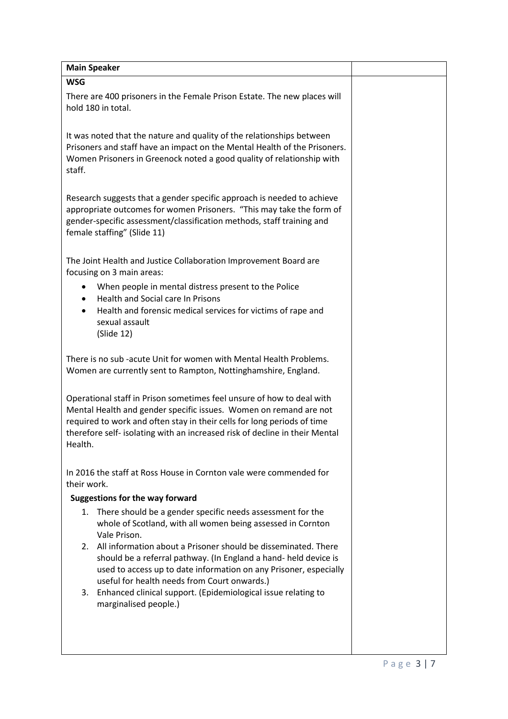| <b>Main Speaker</b>                                                                                                                                                                                                                                                                                             |  |
|-----------------------------------------------------------------------------------------------------------------------------------------------------------------------------------------------------------------------------------------------------------------------------------------------------------------|--|
| <b>WSG</b>                                                                                                                                                                                                                                                                                                      |  |
| There are 400 prisoners in the Female Prison Estate. The new places will<br>hold 180 in total.                                                                                                                                                                                                                  |  |
| It was noted that the nature and quality of the relationships between<br>Prisoners and staff have an impact on the Mental Health of the Prisoners.<br>Women Prisoners in Greenock noted a good quality of relationship with<br>staff.                                                                           |  |
| Research suggests that a gender specific approach is needed to achieve<br>appropriate outcomes for women Prisoners. "This may take the form of<br>gender-specific assessment/classification methods, staff training and<br>female staffing" (Slide 11)                                                          |  |
| The Joint Health and Justice Collaboration Improvement Board are<br>focusing on 3 main areas:                                                                                                                                                                                                                   |  |
| When people in mental distress present to the Police<br>$\bullet$                                                                                                                                                                                                                                               |  |
| Health and Social care In Prisons<br>$\bullet$                                                                                                                                                                                                                                                                  |  |
| Health and forensic medical services for victims of rape and<br>$\bullet$<br>sexual assault<br>(Slide 12)                                                                                                                                                                                                       |  |
| There is no sub -acute Unit for women with Mental Health Problems.<br>Women are currently sent to Rampton, Nottinghamshire, England.                                                                                                                                                                            |  |
| Operational staff in Prison sometimes feel unsure of how to deal with<br>Mental Health and gender specific issues. Women on remand are not<br>required to work and often stay in their cells for long periods of time<br>therefore self- isolating with an increased risk of decline in their Mental<br>Health. |  |
| In 2016 the staff at Ross House in Cornton vale were commended for<br>their work.                                                                                                                                                                                                                               |  |
| <b>Suggestions for the way forward</b>                                                                                                                                                                                                                                                                          |  |
| 1.<br>There should be a gender specific needs assessment for the<br>whole of Scotland, with all women being assessed in Cornton<br>Vale Prison.                                                                                                                                                                 |  |
| 2. All information about a Prisoner should be disseminated. There<br>should be a referral pathway. (In England a hand- held device is<br>used to access up to date information on any Prisoner, especially<br>useful for health needs from Court onwards.)                                                      |  |
| Enhanced clinical support. (Epidemiological issue relating to<br>3.<br>marginalised people.)                                                                                                                                                                                                                    |  |
|                                                                                                                                                                                                                                                                                                                 |  |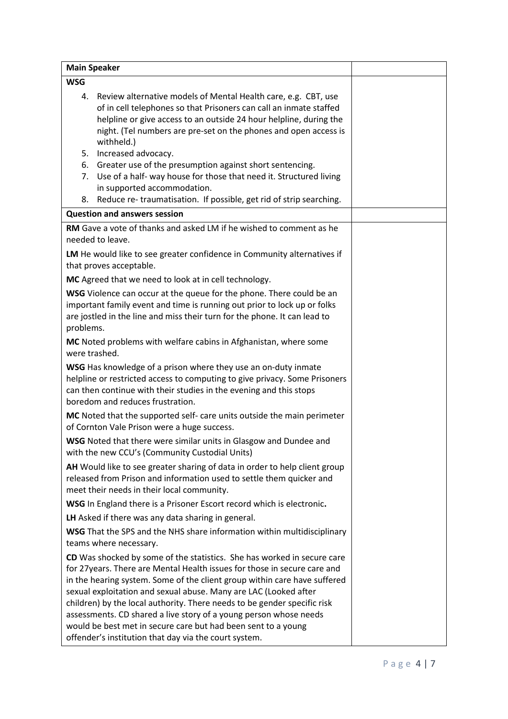| <b>Main Speaker</b>                                                                                                                                                                                                                                                                                                                                                                                                                                                                                                                                                             |  |
|---------------------------------------------------------------------------------------------------------------------------------------------------------------------------------------------------------------------------------------------------------------------------------------------------------------------------------------------------------------------------------------------------------------------------------------------------------------------------------------------------------------------------------------------------------------------------------|--|
| <b>WSG</b>                                                                                                                                                                                                                                                                                                                                                                                                                                                                                                                                                                      |  |
| Review alternative models of Mental Health care, e.g. CBT, use<br>4.<br>of in cell telephones so that Prisoners can call an inmate staffed<br>helpline or give access to an outside 24 hour helpline, during the<br>night. (Tel numbers are pre-set on the phones and open access is<br>withheld.)                                                                                                                                                                                                                                                                              |  |
| Increased advocacy.<br>5.                                                                                                                                                                                                                                                                                                                                                                                                                                                                                                                                                       |  |
| Greater use of the presumption against short sentencing.<br>6.<br>Use of a half- way house for those that need it. Structured living<br>7.<br>in supported accommodation.                                                                                                                                                                                                                                                                                                                                                                                                       |  |
| Reduce re-traumatisation. If possible, get rid of strip searching.<br>8.                                                                                                                                                                                                                                                                                                                                                                                                                                                                                                        |  |
| <b>Question and answers session</b>                                                                                                                                                                                                                                                                                                                                                                                                                                                                                                                                             |  |
| RM Gave a vote of thanks and asked LM if he wished to comment as he<br>needed to leave.                                                                                                                                                                                                                                                                                                                                                                                                                                                                                         |  |
| LM He would like to see greater confidence in Community alternatives if<br>that proves acceptable.                                                                                                                                                                                                                                                                                                                                                                                                                                                                              |  |
| MC Agreed that we need to look at in cell technology.                                                                                                                                                                                                                                                                                                                                                                                                                                                                                                                           |  |
| WSG Violence can occur at the queue for the phone. There could be an<br>important family event and time is running out prior to lock up or folks<br>are jostled in the line and miss their turn for the phone. It can lead to<br>problems.                                                                                                                                                                                                                                                                                                                                      |  |
| MC Noted problems with welfare cabins in Afghanistan, where some<br>were trashed.                                                                                                                                                                                                                                                                                                                                                                                                                                                                                               |  |
| WSG Has knowledge of a prison where they use an on-duty inmate<br>helpline or restricted access to computing to give privacy. Some Prisoners<br>can then continue with their studies in the evening and this stops<br>boredom and reduces frustration.                                                                                                                                                                                                                                                                                                                          |  |
| MC Noted that the supported self- care units outside the main perimeter<br>of Cornton Vale Prison were a huge success.                                                                                                                                                                                                                                                                                                                                                                                                                                                          |  |
| WSG Noted that there were similar units in Glasgow and Dundee and<br>with the new CCU's (Community Custodial Units)                                                                                                                                                                                                                                                                                                                                                                                                                                                             |  |
| AH Would like to see greater sharing of data in order to help client group<br>released from Prison and information used to settle them quicker and<br>meet their needs in their local community.                                                                                                                                                                                                                                                                                                                                                                                |  |
| WSG In England there is a Prisoner Escort record which is electronic.                                                                                                                                                                                                                                                                                                                                                                                                                                                                                                           |  |
| LH Asked if there was any data sharing in general.                                                                                                                                                                                                                                                                                                                                                                                                                                                                                                                              |  |
| WSG That the SPS and the NHS share information within multidisciplinary<br>teams where necessary.                                                                                                                                                                                                                                                                                                                                                                                                                                                                               |  |
| CD Was shocked by some of the statistics. She has worked in secure care<br>for 27years. There are Mental Health issues for those in secure care and<br>in the hearing system. Some of the client group within care have suffered<br>sexual exploitation and sexual abuse. Many are LAC (Looked after<br>children) by the local authority. There needs to be gender specific risk<br>assessments. CD shared a live story of a young person whose needs<br>would be best met in secure care but had been sent to a young<br>offender's institution that day via the court system. |  |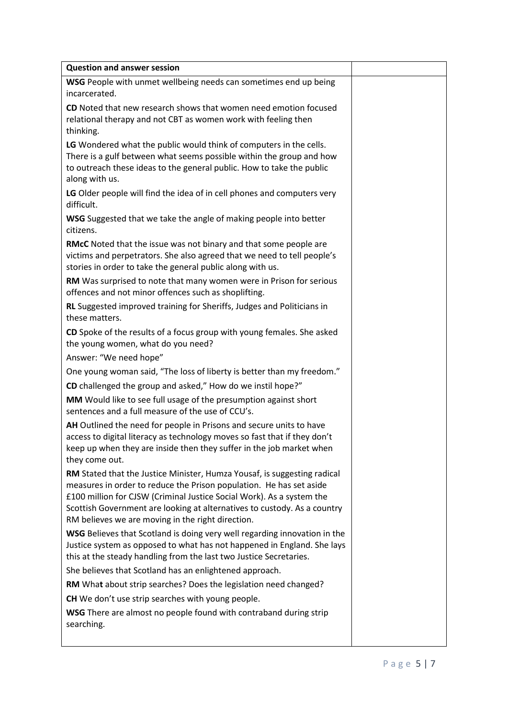| <b>Question and answer session</b>                                                                                                                                                                                                                                                                                                                        |  |
|-----------------------------------------------------------------------------------------------------------------------------------------------------------------------------------------------------------------------------------------------------------------------------------------------------------------------------------------------------------|--|
| WSG People with unmet wellbeing needs can sometimes end up being<br>incarcerated.                                                                                                                                                                                                                                                                         |  |
| CD Noted that new research shows that women need emotion focused<br>relational therapy and not CBT as women work with feeling then<br>thinking.                                                                                                                                                                                                           |  |
| LG Wondered what the public would think of computers in the cells.<br>There is a gulf between what seems possible within the group and how<br>to outreach these ideas to the general public. How to take the public<br>along with us.                                                                                                                     |  |
| LG Older people will find the idea of in cell phones and computers very<br>difficult.                                                                                                                                                                                                                                                                     |  |
| WSG Suggested that we take the angle of making people into better<br>citizens.                                                                                                                                                                                                                                                                            |  |
| RMcC Noted that the issue was not binary and that some people are<br>victims and perpetrators. She also agreed that we need to tell people's<br>stories in order to take the general public along with us.                                                                                                                                                |  |
| RM Was surprised to note that many women were in Prison for serious<br>offences and not minor offences such as shoplifting.                                                                                                                                                                                                                               |  |
| RL Suggested improved training for Sheriffs, Judges and Politicians in<br>these matters.                                                                                                                                                                                                                                                                  |  |
| CD Spoke of the results of a focus group with young females. She asked<br>the young women, what do you need?<br>Answer: "We need hope"                                                                                                                                                                                                                    |  |
| One young woman said, "The loss of liberty is better than my freedom."                                                                                                                                                                                                                                                                                    |  |
| CD challenged the group and asked," How do we instil hope?"                                                                                                                                                                                                                                                                                               |  |
| MM Would like to see full usage of the presumption against short<br>sentences and a full measure of the use of CCU's.                                                                                                                                                                                                                                     |  |
| AH Outlined the need for people in Prisons and secure units to have<br>access to digital literacy as technology moves so fast that if they don't<br>keep up when they are inside then they suffer in the job market when<br>they come out.                                                                                                                |  |
| RM Stated that the Justice Minister, Humza Yousaf, is suggesting radical<br>measures in order to reduce the Prison population. He has set aside<br>£100 million for CJSW (Criminal Justice Social Work). As a system the<br>Scottish Government are looking at alternatives to custody. As a country<br>RM believes we are moving in the right direction. |  |
| WSG Believes that Scotland is doing very well regarding innovation in the<br>Justice system as opposed to what has not happened in England. She lays<br>this at the steady handling from the last two Justice Secretaries.                                                                                                                                |  |
| She believes that Scotland has an enlightened approach.                                                                                                                                                                                                                                                                                                   |  |
| RM What about strip searches? Does the legislation need changed?                                                                                                                                                                                                                                                                                          |  |
| <b>CH</b> We don't use strip searches with young people.                                                                                                                                                                                                                                                                                                  |  |
| WSG There are almost no people found with contraband during strip<br>searching.                                                                                                                                                                                                                                                                           |  |
|                                                                                                                                                                                                                                                                                                                                                           |  |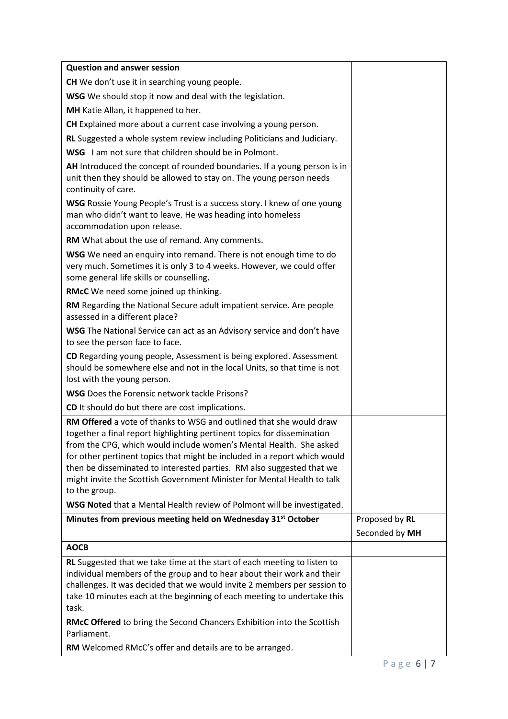| <b>Question and answer session</b>                                                                                                                                                                                                                                                                                                                                                                                                                                     |                |
|------------------------------------------------------------------------------------------------------------------------------------------------------------------------------------------------------------------------------------------------------------------------------------------------------------------------------------------------------------------------------------------------------------------------------------------------------------------------|----------------|
| CH We don't use it in searching young people.                                                                                                                                                                                                                                                                                                                                                                                                                          |                |
| WSG We should stop it now and deal with the legislation.                                                                                                                                                                                                                                                                                                                                                                                                               |                |
| MH Katie Allan, it happened to her.                                                                                                                                                                                                                                                                                                                                                                                                                                    |                |
| CH Explained more about a current case involving a young person.                                                                                                                                                                                                                                                                                                                                                                                                       |                |
| RL Suggested a whole system review including Politicians and Judiciary.                                                                                                                                                                                                                                                                                                                                                                                                |                |
| WSG I am not sure that children should be in Polmont.                                                                                                                                                                                                                                                                                                                                                                                                                  |                |
| AH Introduced the concept of rounded boundaries. If a young person is in<br>unit then they should be allowed to stay on. The young person needs<br>continuity of care.                                                                                                                                                                                                                                                                                                 |                |
| WSG Rossie Young People's Trust is a success story. I knew of one young<br>man who didn't want to leave. He was heading into homeless<br>accommodation upon release.                                                                                                                                                                                                                                                                                                   |                |
| RM What about the use of remand. Any comments.                                                                                                                                                                                                                                                                                                                                                                                                                         |                |
| WSG We need an enquiry into remand. There is not enough time to do<br>very much. Sometimes it is only 3 to 4 weeks. However, we could offer<br>some general life skills or counselling.                                                                                                                                                                                                                                                                                |                |
| RMcC We need some joined up thinking.                                                                                                                                                                                                                                                                                                                                                                                                                                  |                |
| RM Regarding the National Secure adult impatient service. Are people<br>assessed in a different place?                                                                                                                                                                                                                                                                                                                                                                 |                |
| WSG The National Service can act as an Advisory service and don't have<br>to see the person face to face.                                                                                                                                                                                                                                                                                                                                                              |                |
| CD Regarding young people, Assessment is being explored. Assessment<br>should be somewhere else and not in the local Units, so that time is not<br>lost with the young person.                                                                                                                                                                                                                                                                                         |                |
| <b>WSG</b> Does the Forensic network tackle Prisons?                                                                                                                                                                                                                                                                                                                                                                                                                   |                |
| CD It should do but there are cost implications.                                                                                                                                                                                                                                                                                                                                                                                                                       |                |
| RM Offered a vote of thanks to WSG and outlined that she would draw<br>together a final report highlighting pertinent topics for dissemination<br>from the CPG, which would include women's Mental Health. She asked<br>for other pertinent topics that might be included in a report which would<br>then be disseminated to interested parties. RM also suggested that we<br>might invite the Scottish Government Minister for Mental Health to talk<br>to the group. |                |
| WSG Noted that a Mental Health review of Polmont will be investigated.                                                                                                                                                                                                                                                                                                                                                                                                 |                |
| Minutes from previous meeting held on Wednesday 31 <sup>st</sup> October                                                                                                                                                                                                                                                                                                                                                                                               | Proposed by RL |
|                                                                                                                                                                                                                                                                                                                                                                                                                                                                        | Seconded by MH |
| <b>AOCB</b>                                                                                                                                                                                                                                                                                                                                                                                                                                                            |                |
| RL Suggested that we take time at the start of each meeting to listen to<br>individual members of the group and to hear about their work and their<br>challenges. It was decided that we would invite 2 members per session to<br>take 10 minutes each at the beginning of each meeting to undertake this<br>task.<br>RMcC Offered to bring the Second Chancers Exhibition into the Scottish                                                                           |                |
| Parliament.                                                                                                                                                                                                                                                                                                                                                                                                                                                            |                |
| RM Welcomed RMcC's offer and details are to be arranged.                                                                                                                                                                                                                                                                                                                                                                                                               |                |